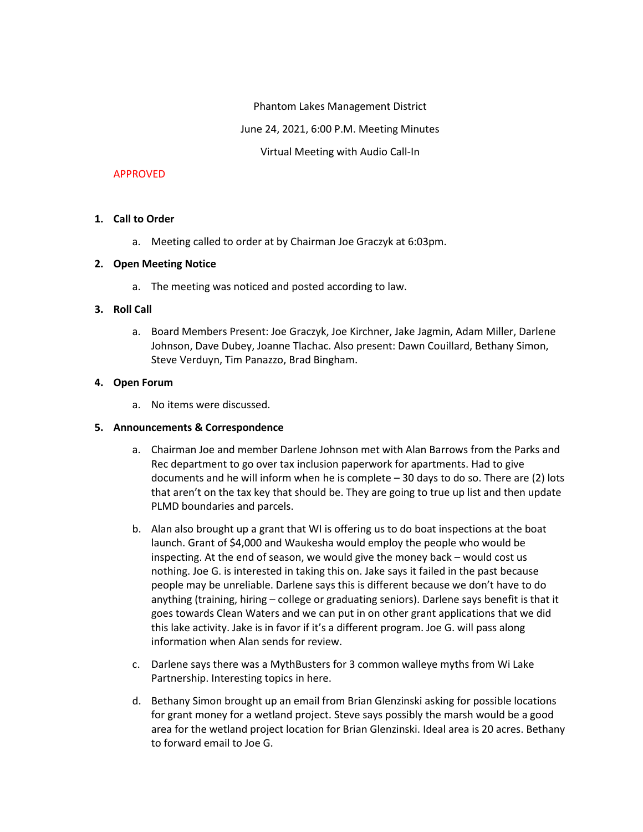Phantom Lakes Management District

June 24, 2021, 6:00 P.M. Meeting Minutes

Virtual Meeting with Audio Call-In

#### APPROVED

#### **1. Call to Order**

a. Meeting called to order at by Chairman Joe Graczyk at 6:03pm.

#### **2. Open Meeting Notice**

a. The meeting was noticed and posted according to law.

#### **3. Roll Call**

a. Board Members Present: Joe Graczyk, Joe Kirchner, Jake Jagmin, Adam Miller, Darlene Johnson, Dave Dubey, Joanne Tlachac. Also present: Dawn Couillard, Bethany Simon, Steve Verduyn, Tim Panazzo, Brad Bingham.

#### **4. Open Forum**

a. No items were discussed.

#### **5. Announcements & Correspondence**

- a. Chairman Joe and member Darlene Johnson met with Alan Barrows from the Parks and Rec department to go over tax inclusion paperwork for apartments. Had to give documents and he will inform when he is complete – 30 days to do so. There are (2) lots that aren't on the tax key that should be. They are going to true up list and then update PLMD boundaries and parcels.
- b. Alan also brought up a grant that WI is offering us to do boat inspections at the boat launch. Grant of \$4,000 and Waukesha would employ the people who would be inspecting. At the end of season, we would give the money back – would cost us nothing. Joe G. is interested in taking this on. Jake says it failed in the past because people may be unreliable. Darlene says this is different because we don't have to do anything (training, hiring – college or graduating seniors). Darlene says benefit is that it goes towards Clean Waters and we can put in on other grant applications that we did this lake activity. Jake is in favor if it's a different program. Joe G. will pass along information when Alan sends for review.
- c. Darlene says there was a MythBusters for 3 common walleye myths from Wi Lake Partnership. Interesting topics in here.
- d. Bethany Simon brought up an email from Brian Glenzinski asking for possible locations for grant money for a wetland project. Steve says possibly the marsh would be a good area for the wetland project location for Brian Glenzinski. Ideal area is 20 acres. Bethany to forward email to Joe G.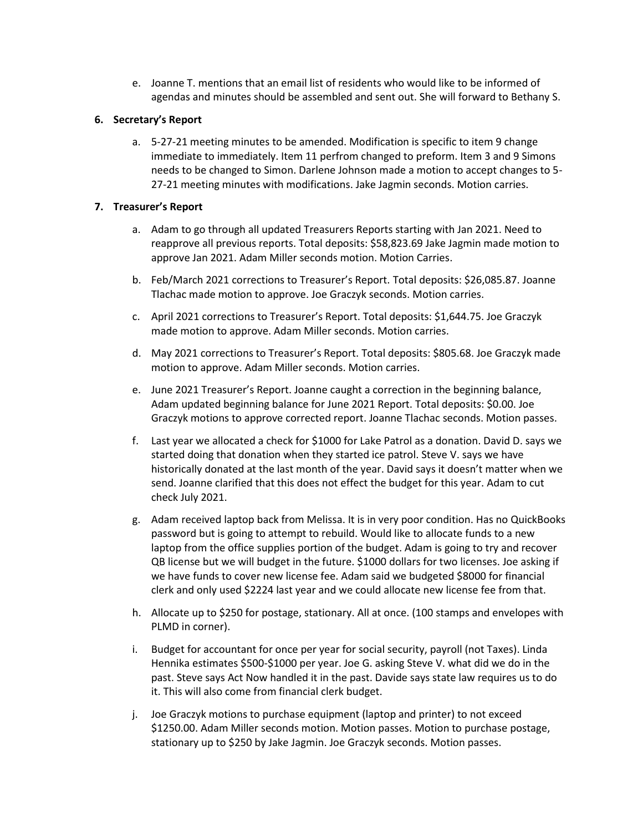e. Joanne T. mentions that an email list of residents who would like to be informed of agendas and minutes should be assembled and sent out. She will forward to Bethany S.

## **6. Secretary's Report**

a. 5-27-21 meeting minutes to be amended. Modification is specific to item 9 change immediate to immediately. Item 11 perfrom changed to preform. Item 3 and 9 Simons needs to be changed to Simon. Darlene Johnson made a motion to accept changes to 5- 27-21 meeting minutes with modifications. Jake Jagmin seconds. Motion carries.

## **7. Treasurer's Report**

- a. Adam to go through all updated Treasurers Reports starting with Jan 2021. Need to reapprove all previous reports. Total deposits: \$58,823.69 Jake Jagmin made motion to approve Jan 2021. Adam Miller seconds motion. Motion Carries.
- b. Feb/March 2021 corrections to Treasurer's Report. Total deposits: \$26,085.87. Joanne Tlachac made motion to approve. Joe Graczyk seconds. Motion carries.
- c. April 2021 corrections to Treasurer's Report. Total deposits: \$1,644.75. Joe Graczyk made motion to approve. Adam Miller seconds. Motion carries.
- d. May 2021 corrections to Treasurer's Report. Total deposits: \$805.68. Joe Graczyk made motion to approve. Adam Miller seconds. Motion carries.
- e. June 2021 Treasurer's Report. Joanne caught a correction in the beginning balance, Adam updated beginning balance for June 2021 Report. Total deposits: \$0.00. Joe Graczyk motions to approve corrected report. Joanne Tlachac seconds. Motion passes.
- f. Last year we allocated a check for \$1000 for Lake Patrol as a donation. David D. says we started doing that donation when they started ice patrol. Steve V. says we have historically donated at the last month of the year. David says it doesn't matter when we send. Joanne clarified that this does not effect the budget for this year. Adam to cut check July 2021.
- g. Adam received laptop back from Melissa. It is in very poor condition. Has no QuickBooks password but is going to attempt to rebuild. Would like to allocate funds to a new laptop from the office supplies portion of the budget. Adam is going to try and recover QB license but we will budget in the future. \$1000 dollars for two licenses. Joe asking if we have funds to cover new license fee. Adam said we budgeted \$8000 for financial clerk and only used \$2224 last year and we could allocate new license fee from that.
- h. Allocate up to \$250 for postage, stationary. All at once. (100 stamps and envelopes with PLMD in corner).
- i. Budget for accountant for once per year for social security, payroll (not Taxes). Linda Hennika estimates \$500-\$1000 per year. Joe G. asking Steve V. what did we do in the past. Steve says Act Now handled it in the past. Davide says state law requires us to do it. This will also come from financial clerk budget.
- j. Joe Graczyk motions to purchase equipment (laptop and printer) to not exceed \$1250.00. Adam Miller seconds motion. Motion passes. Motion to purchase postage, stationary up to \$250 by Jake Jagmin. Joe Graczyk seconds. Motion passes.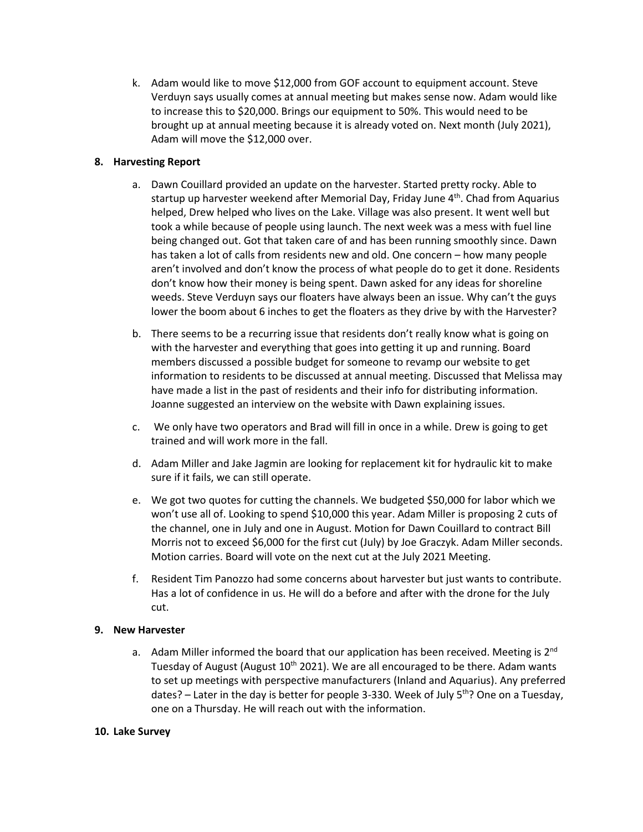k. Adam would like to move \$12,000 from GOF account to equipment account. Steve Verduyn says usually comes at annual meeting but makes sense now. Adam would like to increase this to \$20,000. Brings our equipment to 50%. This would need to be brought up at annual meeting because it is already voted on. Next month (July 2021), Adam will move the \$12,000 over.

## **8. Harvesting Report**

- a. Dawn Couillard provided an update on the harvester. Started pretty rocky. Able to startup up harvester weekend after Memorial Day, Friday June 4<sup>th</sup>. Chad from Aquarius helped, Drew helped who lives on the Lake. Village was also present. It went well but took a while because of people using launch. The next week was a mess with fuel line being changed out. Got that taken care of and has been running smoothly since. Dawn has taken a lot of calls from residents new and old. One concern – how many people aren't involved and don't know the process of what people do to get it done. Residents don't know how their money is being spent. Dawn asked for any ideas for shoreline weeds. Steve Verduyn says our floaters have always been an issue. Why can't the guys lower the boom about 6 inches to get the floaters as they drive by with the Harvester?
- b. There seems to be a recurring issue that residents don't really know what is going on with the harvester and everything that goes into getting it up and running. Board members discussed a possible budget for someone to revamp our website to get information to residents to be discussed at annual meeting. Discussed that Melissa may have made a list in the past of residents and their info for distributing information. Joanne suggested an interview on the website with Dawn explaining issues.
- c. We only have two operators and Brad will fill in once in a while. Drew is going to get trained and will work more in the fall.
- d. Adam Miller and Jake Jagmin are looking for replacement kit for hydraulic kit to make sure if it fails, we can still operate.
- e. We got two quotes for cutting the channels. We budgeted \$50,000 for labor which we won't use all of. Looking to spend \$10,000 this year. Adam Miller is proposing 2 cuts of the channel, one in July and one in August. Motion for Dawn Couillard to contract Bill Morris not to exceed \$6,000 for the first cut (July) by Joe Graczyk. Adam Miller seconds. Motion carries. Board will vote on the next cut at the July 2021 Meeting.
- f. Resident Tim Panozzo had some concerns about harvester but just wants to contribute. Has a lot of confidence in us. He will do a before and after with the drone for the July cut.

## **9. New Harvester**

a. Adam Miller informed the board that our application has been received. Meeting is 2<sup>nd</sup> Tuesday of August (August 10<sup>th</sup> 2021). We are all encouraged to be there. Adam wants to set up meetings with perspective manufacturers (Inland and Aquarius). Any preferred dates? – Later in the day is better for people 3-330. Week of July  $5<sup>th</sup>$ ? One on a Tuesday, one on a Thursday. He will reach out with the information.

## **10. Lake Survey**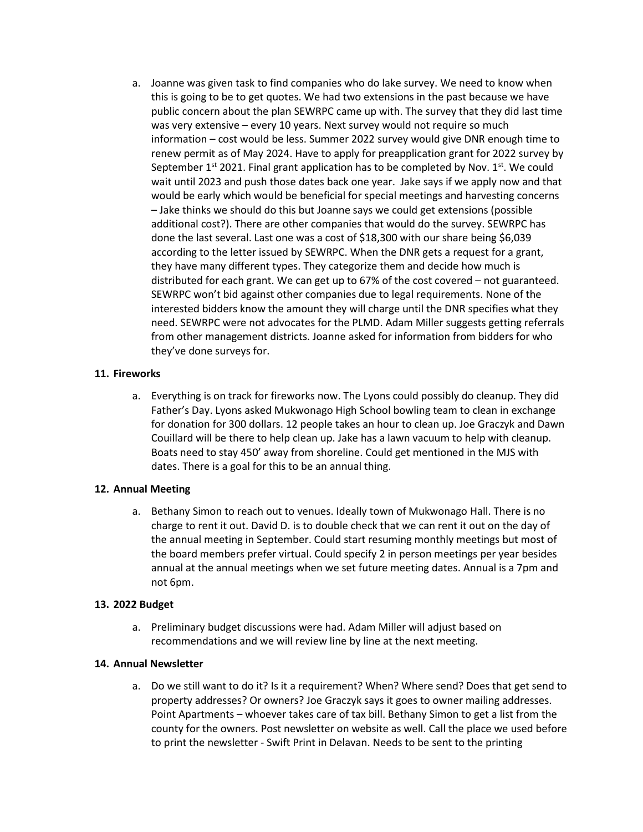a. Joanne was given task to find companies who do lake survey. We need to know when this is going to be to get quotes. We had two extensions in the past because we have public concern about the plan SEWRPC came up with. The survey that they did last time was very extensive – every 10 years. Next survey would not require so much information – cost would be less. Summer 2022 survey would give DNR enough time to renew permit as of May 2024. Have to apply for preapplication grant for 2022 survey by September  $1^{st}$  2021. Final grant application has to be completed by Nov.  $1^{st}$ . We could wait until 2023 and push those dates back one year. Jake says if we apply now and that would be early which would be beneficial for special meetings and harvesting concerns – Jake thinks we should do this but Joanne says we could get extensions (possible additional cost?). There are other companies that would do the survey. SEWRPC has done the last several. Last one was a cost of \$18,300 with our share being \$6,039 according to the letter issued by SEWRPC. When the DNR gets a request for a grant, they have many different types. They categorize them and decide how much is distributed for each grant. We can get up to 67% of the cost covered – not guaranteed. SEWRPC won't bid against other companies due to legal requirements. None of the interested bidders know the amount they will charge until the DNR specifies what they need. SEWRPC were not advocates for the PLMD. Adam Miller suggests getting referrals from other management districts. Joanne asked for information from bidders for who they've done surveys for.

## **11. Fireworks**

a. Everything is on track for fireworks now. The Lyons could possibly do cleanup. They did Father's Day. Lyons asked Mukwonago High School bowling team to clean in exchange for donation for 300 dollars. 12 people takes an hour to clean up. Joe Graczyk and Dawn Couillard will be there to help clean up. Jake has a lawn vacuum to help with cleanup. Boats need to stay 450' away from shoreline. Could get mentioned in the MJS with dates. There is a goal for this to be an annual thing.

# **12. Annual Meeting**

a. Bethany Simon to reach out to venues. Ideally town of Mukwonago Hall. There is no charge to rent it out. David D. is to double check that we can rent it out on the day of the annual meeting in September. Could start resuming monthly meetings but most of the board members prefer virtual. Could specify 2 in person meetings per year besides annual at the annual meetings when we set future meeting dates. Annual is a 7pm and not 6pm.

## **13. 2022 Budget**

a. Preliminary budget discussions were had. Adam Miller will adjust based on recommendations and we will review line by line at the next meeting.

## **14. Annual Newsletter**

a. Do we still want to do it? Is it a requirement? When? Where send? Does that get send to property addresses? Or owners? Joe Graczyk says it goes to owner mailing addresses. Point Apartments – whoever takes care of tax bill. Bethany Simon to get a list from the county for the owners. Post newsletter on website as well. Call the place we used before to print the newsletter - Swift Print in Delavan. Needs to be sent to the printing